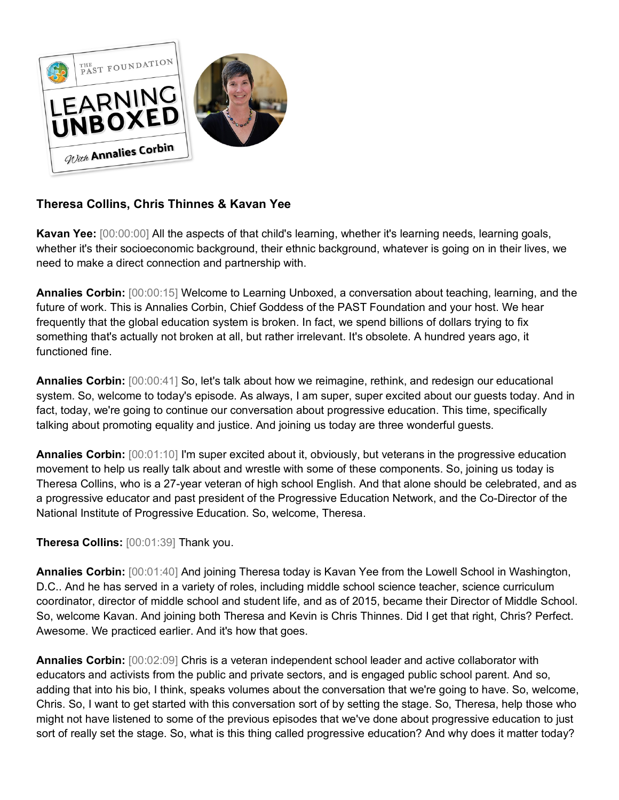

## **Theresa Collins, Chris Thinnes & Kavan Yee**

**Kavan Yee:**  $[00:00:00]$  All the aspects of that child's learning, whether it's learning needs, learning goals, whether it's their socioeconomic background, their ethnic background, whatever is going on in their lives, we need to make a direct connection and partnership with.

**Annalies Corbin:** [00:00:15] Welcome to Learning Unboxed, a conversation about teaching, learning, and the future of work. This is Annalies Corbin, Chief Goddess of the PAST Foundation and your host. We hear frequently that the global education system is broken. In fact, we spend billions of dollars trying to fix something that's actually not broken at all, but rather irrelevant. It's obsolete. A hundred years ago, it functioned fine.

**Annalies Corbin:** [00:00:41] So, let's talk about how we reimagine, rethink, and redesign our educational system. So, welcome to today's episode. As always, I am super, super excited about our guests today. And in fact, today, we're going to continue our conversation about progressive education. This time, specifically talking about promoting equality and justice. And joining us today are three wonderful guests.

**Annalies Corbin:** [00:01:10] I'm super excited about it, obviously, but veterans in the progressive education movement to help us really talk about and wrestle with some of these components. So, joining us today is Theresa Collins, who is a 27-year veteran of high school English. And that alone should be celebrated, and as a progressive educator and past president of the Progressive Education Network, and the Co-Director of the National Institute of Progressive Education. So, welcome, Theresa.

**Theresa Collins:** [00:01:39] Thank you.

**Annalies Corbin:** [00:01:40] And joining Theresa today is Kavan Yee from the Lowell School in Washington, D.C.. And he has served in a variety of roles, including middle school science teacher, science curriculum coordinator, director of middle school and student life, and as of 2015, became their Director of Middle School. So, welcome Kavan. And joining both Theresa and Kevin is Chris Thinnes. Did I get that right, Chris? Perfect. Awesome. We practiced earlier. And it's how that goes.

**Annalies Corbin:** [00:02:09] Chris is a veteran independent school leader and active collaborator with educators and activists from the public and private sectors, and is engaged public school parent. And so, adding that into his bio, I think, speaks volumes about the conversation that we're going to have. So, welcome, Chris. So, I want to get started with this conversation sort of by setting the stage. So, Theresa, help those who might not have listened to some of the previous episodes that we've done about progressive education to just sort of really set the stage. So, what is this thing called progressive education? And why does it matter today?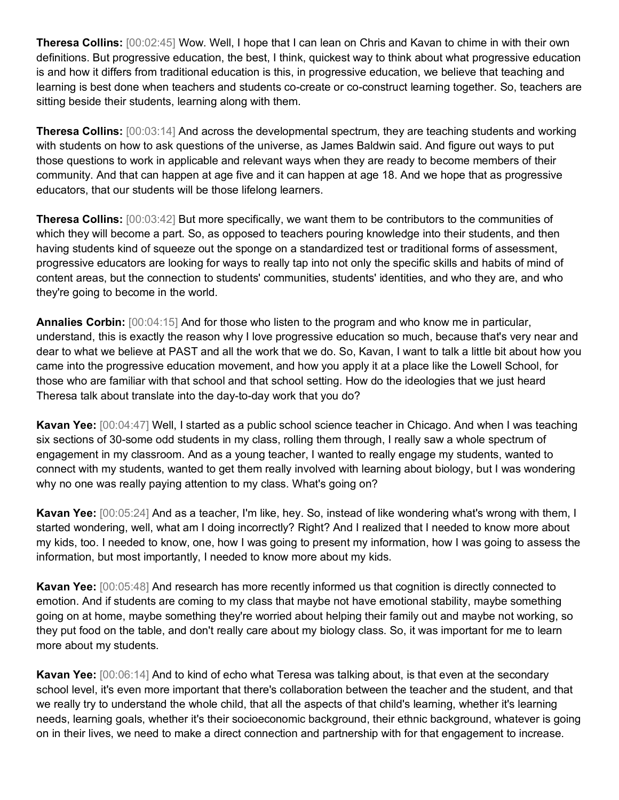**Theresa Collins:** [00:02:45] Wow. Well, I hope that I can lean on Chris and Kavan to chime in with their own definitions. But progressive education, the best, I think, quickest way to think about what progressive education is and how it differs from traditional education is this, in progressive education, we believe that teaching and learning is best done when teachers and students co-create or co-construct learning together. So, teachers are sitting beside their students, learning along with them.

**Theresa Collins:** [00:03:14] And across the developmental spectrum, they are teaching students and working with students on how to ask questions of the universe, as James Baldwin said. And figure out ways to put those questions to work in applicable and relevant ways when they are ready to become members of their community. And that can happen at age five and it can happen at age 18. And we hope that as progressive educators, that our students will be those lifelong learners.

**Theresa Collins:** [00:03:42] But more specifically, we want them to be contributors to the communities of which they will become a part. So, as opposed to teachers pouring knowledge into their students, and then having students kind of squeeze out the sponge on a standardized test or traditional forms of assessment, progressive educators are looking for ways to really tap into not only the specific skills and habits of mind of content areas, but the connection to students' communities, students' identities, and who they are, and who they're going to become in the world.

**Annalies Corbin:** [00:04:15] And for those who listen to the program and who know me in particular, understand, this is exactly the reason why I love progressive education so much, because that's very near and dear to what we believe at PAST and all the work that we do. So, Kavan, I want to talk a little bit about how you came into the progressive education movement, and how you apply it at a place like the Lowell School, for those who are familiar with that school and that school setting. How do the ideologies that we just heard Theresa talk about translate into the day-to-day work that you do?

**Kavan Yee:** [00:04:47] Well, I started as a public school science teacher in Chicago. And when I was teaching six sections of 30-some odd students in my class, rolling them through, I really saw a whole spectrum of engagement in my classroom. And as a young teacher, I wanted to really engage my students, wanted to connect with my students, wanted to get them really involved with learning about biology, but I was wondering why no one was really paying attention to my class. What's going on?

**Kavan Yee:** [00:05:24] And as a teacher, I'm like, hey. So, instead of like wondering what's wrong with them, I started wondering, well, what am I doing incorrectly? Right? And I realized that I needed to know more about my kids, too. I needed to know, one, how I was going to present my information, how I was going to assess the information, but most importantly, I needed to know more about my kids.

**Kavan Yee:** [00:05:48] And research has more recently informed us that cognition is directly connected to emotion. And if students are coming to my class that maybe not have emotional stability, maybe something going on at home, maybe something they're worried about helping their family out and maybe not working, so they put food on the table, and don't really care about my biology class. So, it was important for me to learn more about my students.

**Kavan Yee:** [00:06:14] And to kind of echo what Teresa was talking about, is that even at the secondary school level, it's even more important that there's collaboration between the teacher and the student, and that we really try to understand the whole child, that all the aspects of that child's learning, whether it's learning needs, learning goals, whether it's their socioeconomic background, their ethnic background, whatever is going on in their lives, we need to make a direct connection and partnership with for that engagement to increase.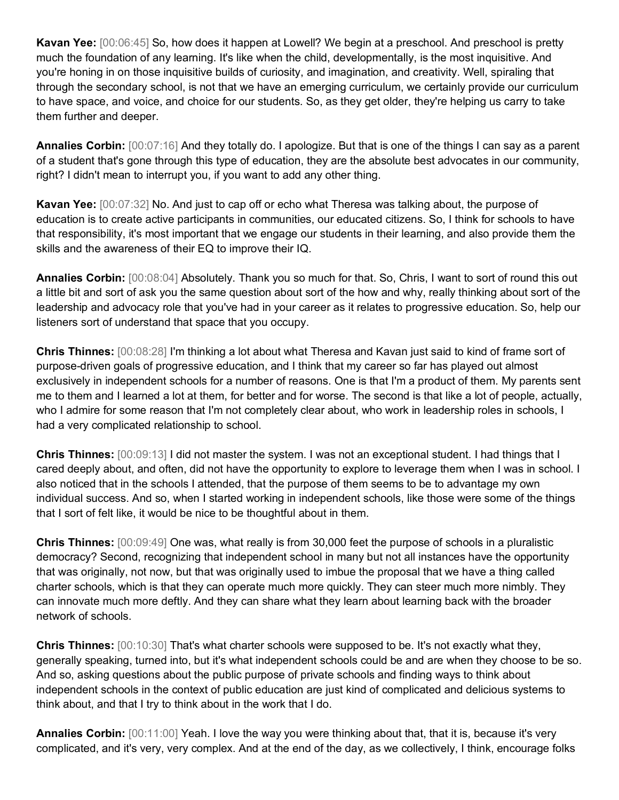**Kavan Yee:** [00:06:45] So, how does it happen at Lowell? We begin at a preschool. And preschool is pretty much the foundation of any learning. It's like when the child, developmentally, is the most inquisitive. And you're honing in on those inquisitive builds of curiosity, and imagination, and creativity. Well, spiraling that through the secondary school, is not that we have an emerging curriculum, we certainly provide our curriculum to have space, and voice, and choice for our students. So, as they get older, they're helping us carry to take them further and deeper.

**Annalies Corbin:** [00:07:16] And they totally do. I apologize. But that is one of the things I can say as a parent of a student that's gone through this type of education, they are the absolute best advocates in our community, right? I didn't mean to interrupt you, if you want to add any other thing.

**Kavan Yee:** [00:07:32] No. And just to cap off or echo what Theresa was talking about, the purpose of education is to create active participants in communities, our educated citizens. So, I think for schools to have that responsibility, it's most important that we engage our students in their learning, and also provide them the skills and the awareness of their EQ to improve their IQ.

**Annalies Corbin:** [00:08:04] Absolutely. Thank you so much for that. So, Chris, I want to sort of round this out a little bit and sort of ask you the same question about sort of the how and why, really thinking about sort of the leadership and advocacy role that you've had in your career as it relates to progressive education. So, help our listeners sort of understand that space that you occupy.

**Chris Thinnes:** [00:08:28] I'm thinking a lot about what Theresa and Kavan just said to kind of frame sort of purpose-driven goals of progressive education, and I think that my career so far has played out almost exclusively in independent schools for a number of reasons. One is that I'm a product of them. My parents sent me to them and I learned a lot at them, for better and for worse. The second is that like a lot of people, actually, who I admire for some reason that I'm not completely clear about, who work in leadership roles in schools, I had a very complicated relationship to school.

**Chris Thinnes:** [00:09:13] I did not master the system. I was not an exceptional student. I had things that I cared deeply about, and often, did not have the opportunity to explore to leverage them when I was in school. I also noticed that in the schools I attended, that the purpose of them seems to be to advantage my own individual success. And so, when I started working in independent schools, like those were some of the things that I sort of felt like, it would be nice to be thoughtful about in them.

**Chris Thinnes:** [00:09:49] One was, what really is from 30,000 feet the purpose of schools in a pluralistic democracy? Second, recognizing that independent school in many but not all instances have the opportunity that was originally, not now, but that was originally used to imbue the proposal that we have a thing called charter schools, which is that they can operate much more quickly. They can steer much more nimbly. They can innovate much more deftly. And they can share what they learn about learning back with the broader network of schools.

**Chris Thinnes:** [00:10:30] That's what charter schools were supposed to be. It's not exactly what they, generally speaking, turned into, but it's what independent schools could be and are when they choose to be so. And so, asking questions about the public purpose of private schools and finding ways to think about independent schools in the context of public education are just kind of complicated and delicious systems to think about, and that I try to think about in the work that I do.

**Annalies Corbin:** [00:11:00] Yeah. I love the way you were thinking about that, that it is, because it's very complicated, and it's very, very complex. And at the end of the day, as we collectively, I think, encourage folks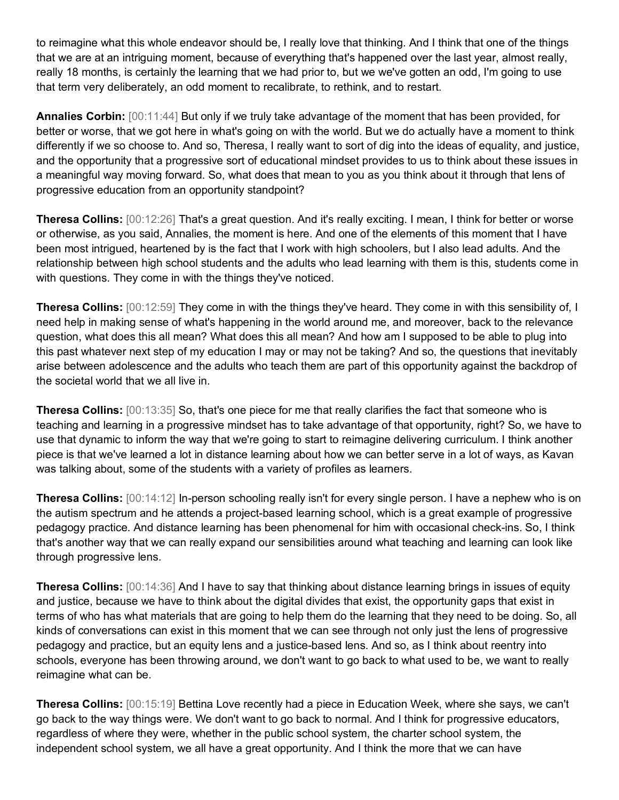to reimagine what this whole endeavor should be, I really love that thinking. And I think that one of the things that we are at an intriguing moment, because of everything that's happened over the last year, almost really, really 18 months, is certainly the learning that we had prior to, but we we've gotten an odd, I'm going to use that term very deliberately, an odd moment to recalibrate, to rethink, and to restart.

**Annalies Corbin:** [00:11:44] But only if we truly take advantage of the moment that has been provided, for better or worse, that we got here in what's going on with the world. But we do actually have a moment to think differently if we so choose to. And so, Theresa, I really want to sort of dig into the ideas of equality, and justice, and the opportunity that a progressive sort of educational mindset provides to us to think about these issues in a meaningful way moving forward. So, what does that mean to you as you think about it through that lens of progressive education from an opportunity standpoint?

**Theresa Collins:** [00:12:26] That's a great question. And it's really exciting. I mean, I think for better or worse or otherwise, as you said, Annalies, the moment is here. And one of the elements of this moment that I have been most intrigued, heartened by is the fact that I work with high schoolers, but I also lead adults. And the relationship between high school students and the adults who lead learning with them is this, students come in with questions. They come in with the things they've noticed.

**Theresa Collins:** [00:12:59] They come in with the things they've heard. They come in with this sensibility of, I need help in making sense of what's happening in the world around me, and moreover, back to the relevance question, what does this all mean? What does this all mean? And how am I supposed to be able to plug into this past whatever next step of my education I may or may not be taking? And so, the questions that inevitably arise between adolescence and the adults who teach them are part of this opportunity against the backdrop of the societal world that we all live in.

**Theresa Collins:** [00:13:35] So, that's one piece for me that really clarifies the fact that someone who is teaching and learning in a progressive mindset has to take advantage of that opportunity, right? So, we have to use that dynamic to inform the way that we're going to start to reimagine delivering curriculum. I think another piece is that we've learned a lot in distance learning about how we can better serve in a lot of ways, as Kavan was talking about, some of the students with a variety of profiles as learners.

**Theresa Collins:** [00:14:12] In-person schooling really isn't for every single person. I have a nephew who is on the autism spectrum and he attends a project-based learning school, which is a great example of progressive pedagogy practice. And distance learning has been phenomenal for him with occasional check-ins. So, I think that's another way that we can really expand our sensibilities around what teaching and learning can look like through progressive lens.

**Theresa Collins:** [00:14:36] And I have to say that thinking about distance learning brings in issues of equity and justice, because we have to think about the digital divides that exist, the opportunity gaps that exist in terms of who has what materials that are going to help them do the learning that they need to be doing. So, all kinds of conversations can exist in this moment that we can see through not only just the lens of progressive pedagogy and practice, but an equity lens and a justice-based lens. And so, as I think about reentry into schools, everyone has been throwing around, we don't want to go back to what used to be, we want to really reimagine what can be.

**Theresa Collins:** [00:15:19] Bettina Love recently had a piece in Education Week, where she says, we can't go back to the way things were. We don't want to go back to normal. And I think for progressive educators, regardless of where they were, whether in the public school system, the charter school system, the independent school system, we all have a great opportunity. And I think the more that we can have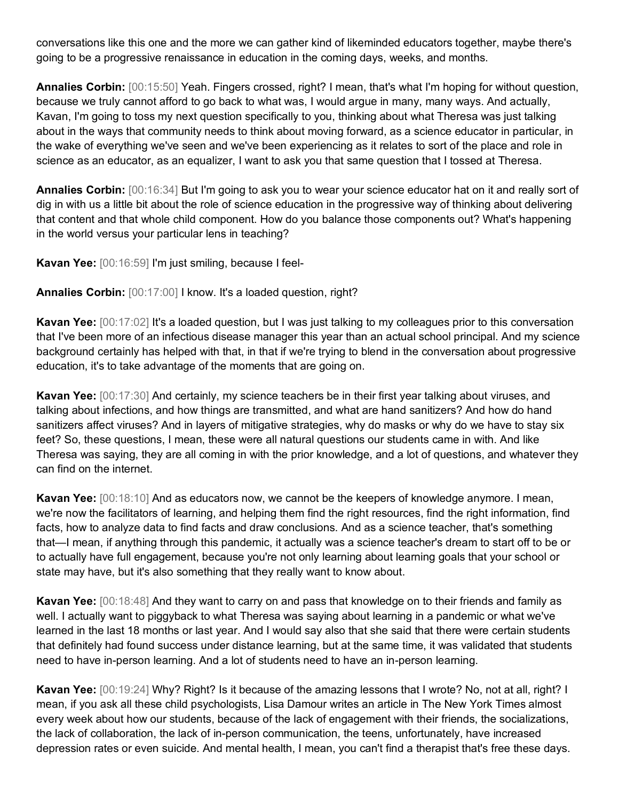conversations like this one and the more we can gather kind of likeminded educators together, maybe there's going to be a progressive renaissance in education in the coming days, weeks, and months.

**Annalies Corbin:** [00:15:50] Yeah. Fingers crossed, right? I mean, that's what I'm hoping for without question, because we truly cannot afford to go back to what was, I would argue in many, many ways. And actually, Kavan, I'm going to toss my next question specifically to you, thinking about what Theresa was just talking about in the ways that community needs to think about moving forward, as a science educator in particular, in the wake of everything we've seen and we've been experiencing as it relates to sort of the place and role in science as an educator, as an equalizer, I want to ask you that same question that I tossed at Theresa.

**Annalies Corbin:** [00:16:34] But I'm going to ask you to wear your science educator hat on it and really sort of dig in with us a little bit about the role of science education in the progressive way of thinking about delivering that content and that whole child component. How do you balance those components out? What's happening in the world versus your particular lens in teaching?

**Kavan Yee:** [00:16:59] I'm just smiling, because I feel-

**Annalies Corbin:** [00:17:00] I know. It's a loaded question, right?

**Kavan Yee:** [00:17:02] It's a loaded question, but I was just talking to my colleagues prior to this conversation that I've been more of an infectious disease manager this year than an actual school principal. And my science background certainly has helped with that, in that if we're trying to blend in the conversation about progressive education, it's to take advantage of the moments that are going on.

**Kavan Yee:** [00:17:30] And certainly, my science teachers be in their first year talking about viruses, and talking about infections, and how things are transmitted, and what are hand sanitizers? And how do hand sanitizers affect viruses? And in layers of mitigative strategies, why do masks or why do we have to stay six feet? So, these questions, I mean, these were all natural questions our students came in with. And like Theresa was saying, they are all coming in with the prior knowledge, and a lot of questions, and whatever they can find on the internet.

**Kavan Yee:** [00:18:10] And as educators now, we cannot be the keepers of knowledge anymore. I mean, we're now the facilitators of learning, and helping them find the right resources, find the right information, find facts, how to analyze data to find facts and draw conclusions. And as a science teacher, that's something that—I mean, if anything through this pandemic, it actually was a science teacher's dream to start off to be or to actually have full engagement, because you're not only learning about learning goals that your school or state may have, but it's also something that they really want to know about.

**Kavan Yee:** [00:18:48] And they want to carry on and pass that knowledge on to their friends and family as well. I actually want to piggyback to what Theresa was saying about learning in a pandemic or what we've learned in the last 18 months or last year. And I would say also that she said that there were certain students that definitely had found success under distance learning, but at the same time, it was validated that students need to have in-person learning. And a lot of students need to have an in-person learning.

**Kavan Yee:** [00:19:24] Why? Right? Is it because of the amazing lessons that I wrote? No, not at all, right? I mean, if you ask all these child psychologists, Lisa Damour writes an article in The New York Times almost every week about how our students, because of the lack of engagement with their friends, the socializations, the lack of collaboration, the lack of in-person communication, the teens, unfortunately, have increased depression rates or even suicide. And mental health, I mean, you can't find a therapist that's free these days.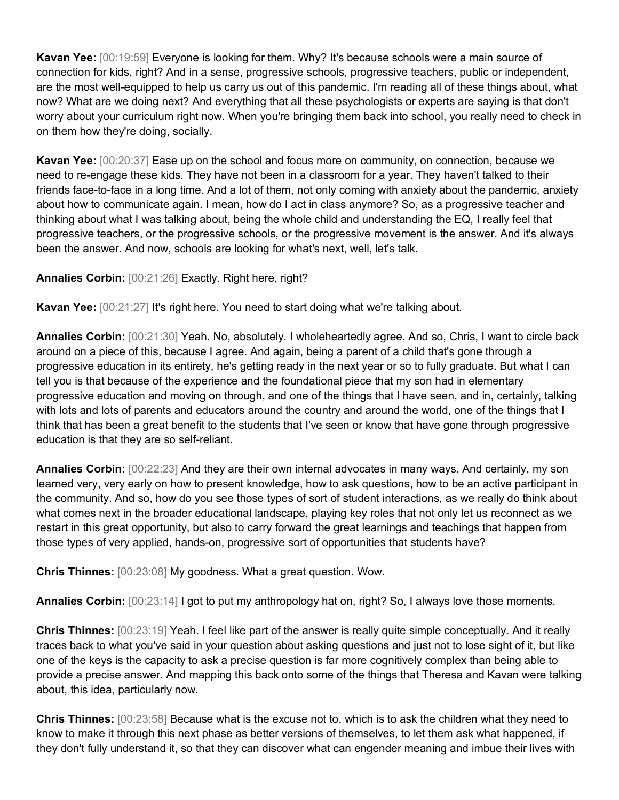**Kavan Yee:** [00:19:59] Everyone is looking for them. Why? It's because schools were a main source of connection for kids, right? And in a sense, progressive schools, progressive teachers, public or independent, are the most well-equipped to help us carry us out of this pandemic. I'm reading all of these things about, what now? What are we doing next? And everything that all these psychologists or experts are saying is that don't worry about your curriculum right now. When you're bringing them back into school, you really need to check in on them how they're doing, socially.

**Kavan Yee:** [00:20:37] Ease up on the school and focus more on community, on connection, because we need to re-engage these kids. They have not been in a classroom for a year. They haven't talked to their friends face-to-face in a long time. And a lot of them, not only coming with anxiety about the pandemic, anxiety about how to communicate again. I mean, how do I act in class anymore? So, as a progressive teacher and thinking about what I was talking about, being the whole child and understanding the EQ, I really feel that progressive teachers, or the progressive schools, or the progressive movement is the answer. And it's always been the answer. And now, schools are looking for what's next, well, let's talk.

## **Annalies Corbin:** [00:21:26] Exactly. Right here, right?

**Kavan Yee:** [00:21:27] It's right here. You need to start doing what we're talking about.

**Annalies Corbin:** [00:21:30] Yeah. No, absolutely. I wholeheartedly agree. And so, Chris, I want to circle back around on a piece of this, because I agree. And again, being a parent of a child that's gone through a progressive education in its entirety, he's getting ready in the next year or so to fully graduate. But what I can tell you is that because of the experience and the foundational piece that my son had in elementary progressive education and moving on through, and one of the things that I have seen, and in, certainly, talking with lots and lots of parents and educators around the country and around the world, one of the things that I think that has been a great benefit to the students that I've seen or know that have gone through progressive education is that they are so self-reliant.

**Annalies Corbin:** [00:22:23] And they are their own internal advocates in many ways. And certainly, my son learned very, very early on how to present knowledge, how to ask questions, how to be an active participant in the community. And so, how do you see those types of sort of student interactions, as we really do think about what comes next in the broader educational landscape, playing key roles that not only let us reconnect as we restart in this great opportunity, but also to carry forward the great learnings and teachings that happen from those types of very applied, hands-on, progressive sort of opportunities that students have?

**Chris Thinnes:** [00:23:08] My goodness. What a great question. Wow.

**Annalies Corbin:** [00:23:14] I got to put my anthropology hat on, right? So, I always love those moments.

**Chris Thinnes:** [00:23:19] Yeah. I feel like part of the answer is really quite simple conceptually. And it really traces back to what you've said in your question about asking questions and just not to lose sight of it, but like one of the keys is the capacity to ask a precise question is far more cognitively complex than being able to provide a precise answer. And mapping this back onto some of the things that Theresa and Kavan were talking about, this idea, particularly now.

**Chris Thinnes:** [00:23:58] Because what is the excuse not to, which is to ask the children what they need to know to make it through this next phase as better versions of themselves, to let them ask what happened, if they don't fully understand it, so that they can discover what can engender meaning and imbue their lives with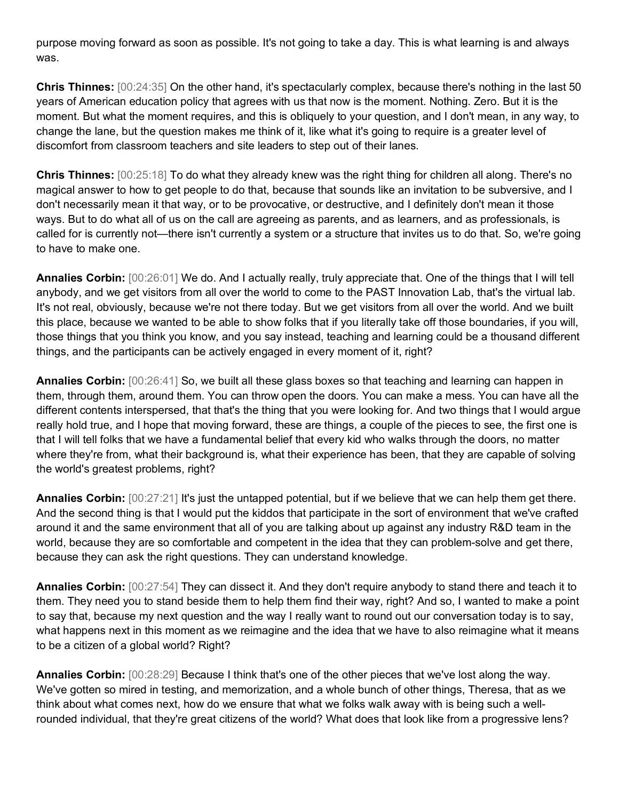purpose moving forward as soon as possible. It's not going to take a day. This is what learning is and always was.

**Chris Thinnes:** [00:24:35] On the other hand, it's spectacularly complex, because there's nothing in the last 50 years of American education policy that agrees with us that now is the moment. Nothing. Zero. But it is the moment. But what the moment requires, and this is obliquely to your question, and I don't mean, in any way, to change the lane, but the question makes me think of it, like what it's going to require is a greater level of discomfort from classroom teachers and site leaders to step out of their lanes.

**Chris Thinnes:** [00:25:18] To do what they already knew was the right thing for children all along. There's no magical answer to how to get people to do that, because that sounds like an invitation to be subversive, and I don't necessarily mean it that way, or to be provocative, or destructive, and I definitely don't mean it those ways. But to do what all of us on the call are agreeing as parents, and as learners, and as professionals, is called for is currently not—there isn't currently a system or a structure that invites us to do that. So, we're going to have to make one.

**Annalies Corbin:** [00:26:01] We do. And I actually really, truly appreciate that. One of the things that I will tell anybody, and we get visitors from all over the world to come to the PAST Innovation Lab, that's the virtual lab. It's not real, obviously, because we're not there today. But we get visitors from all over the world. And we built this place, because we wanted to be able to show folks that if you literally take off those boundaries, if you will, those things that you think you know, and you say instead, teaching and learning could be a thousand different things, and the participants can be actively engaged in every moment of it, right?

**Annalies Corbin:** [00:26:41] So, we built all these glass boxes so that teaching and learning can happen in them, through them, around them. You can throw open the doors. You can make a mess. You can have all the different contents interspersed, that that's the thing that you were looking for. And two things that I would argue really hold true, and I hope that moving forward, these are things, a couple of the pieces to see, the first one is that I will tell folks that we have a fundamental belief that every kid who walks through the doors, no matter where they're from, what their background is, what their experience has been, that they are capable of solving the world's greatest problems, right?

**Annalies Corbin:** [00:27:21] It's just the untapped potential, but if we believe that we can help them get there. And the second thing is that I would put the kiddos that participate in the sort of environment that we've crafted around it and the same environment that all of you are talking about up against any industry R&D team in the world, because they are so comfortable and competent in the idea that they can problem-solve and get there, because they can ask the right questions. They can understand knowledge.

**Annalies Corbin:** [00:27:54] They can dissect it. And they don't require anybody to stand there and teach it to them. They need you to stand beside them to help them find their way, right? And so, I wanted to make a point to say that, because my next question and the way I really want to round out our conversation today is to say, what happens next in this moment as we reimagine and the idea that we have to also reimagine what it means to be a citizen of a global world? Right?

**Annalies Corbin:** [00:28:29] Because I think that's one of the other pieces that we've lost along the way. We've gotten so mired in testing, and memorization, and a whole bunch of other things, Theresa, that as we think about what comes next, how do we ensure that what we folks walk away with is being such a wellrounded individual, that they're great citizens of the world? What does that look like from a progressive lens?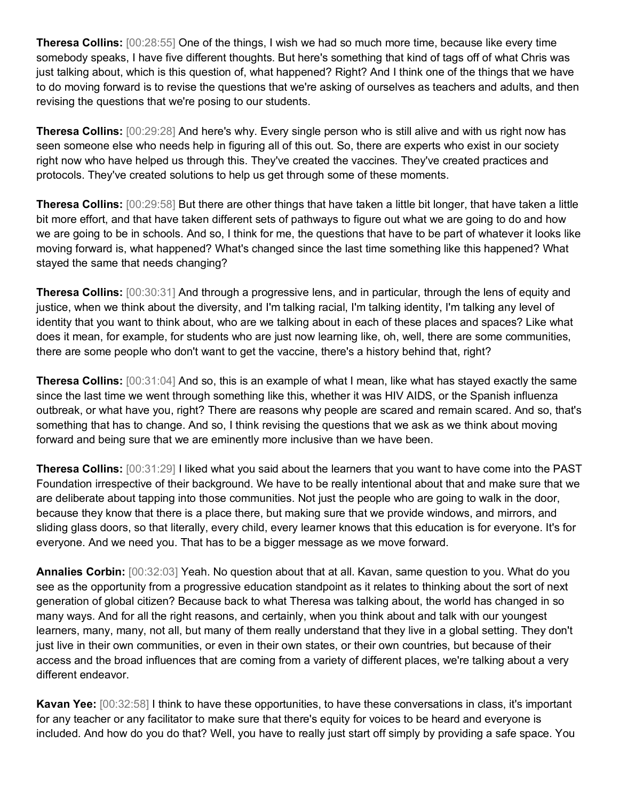**Theresa Collins:** [00:28:55] One of the things, I wish we had so much more time, because like every time somebody speaks, I have five different thoughts. But here's something that kind of tags off of what Chris was just talking about, which is this question of, what happened? Right? And I think one of the things that we have to do moving forward is to revise the questions that we're asking of ourselves as teachers and adults, and then revising the questions that we're posing to our students.

**Theresa Collins:** [00:29:28] And here's why. Every single person who is still alive and with us right now has seen someone else who needs help in figuring all of this out. So, there are experts who exist in our society right now who have helped us through this. They've created the vaccines. They've created practices and protocols. They've created solutions to help us get through some of these moments.

**Theresa Collins:** [00:29:58] But there are other things that have taken a little bit longer, that have taken a little bit more effort, and that have taken different sets of pathways to figure out what we are going to do and how we are going to be in schools. And so, I think for me, the questions that have to be part of whatever it looks like moving forward is, what happened? What's changed since the last time something like this happened? What stayed the same that needs changing?

**Theresa Collins:** [00:30:31] And through a progressive lens, and in particular, through the lens of equity and justice, when we think about the diversity, and I'm talking racial, I'm talking identity, I'm talking any level of identity that you want to think about, who are we talking about in each of these places and spaces? Like what does it mean, for example, for students who are just now learning like, oh, well, there are some communities, there are some people who don't want to get the vaccine, there's a history behind that, right?

**Theresa Collins:** [00:31:04] And so, this is an example of what I mean, like what has stayed exactly the same since the last time we went through something like this, whether it was HIV AIDS, or the Spanish influenza outbreak, or what have you, right? There are reasons why people are scared and remain scared. And so, that's something that has to change. And so, I think revising the questions that we ask as we think about moving forward and being sure that we are eminently more inclusive than we have been.

**Theresa Collins:** [00:31:29] I liked what you said about the learners that you want to have come into the PAST Foundation irrespective of their background. We have to be really intentional about that and make sure that we are deliberate about tapping into those communities. Not just the people who are going to walk in the door, because they know that there is a place there, but making sure that we provide windows, and mirrors, and sliding glass doors, so that literally, every child, every learner knows that this education is for everyone. It's for everyone. And we need you. That has to be a bigger message as we move forward.

**Annalies Corbin:** [00:32:03] Yeah. No question about that at all. Kavan, same question to you. What do you see as the opportunity from a progressive education standpoint as it relates to thinking about the sort of next generation of global citizen? Because back to what Theresa was talking about, the world has changed in so many ways. And for all the right reasons, and certainly, when you think about and talk with our youngest learners, many, many, not all, but many of them really understand that they live in a global setting. They don't just live in their own communities, or even in their own states, or their own countries, but because of their access and the broad influences that are coming from a variety of different places, we're talking about a very different endeavor.

**Kavan Yee:** [00:32:58] I think to have these opportunities, to have these conversations in class, it's important for any teacher or any facilitator to make sure that there's equity for voices to be heard and everyone is included. And how do you do that? Well, you have to really just start off simply by providing a safe space. You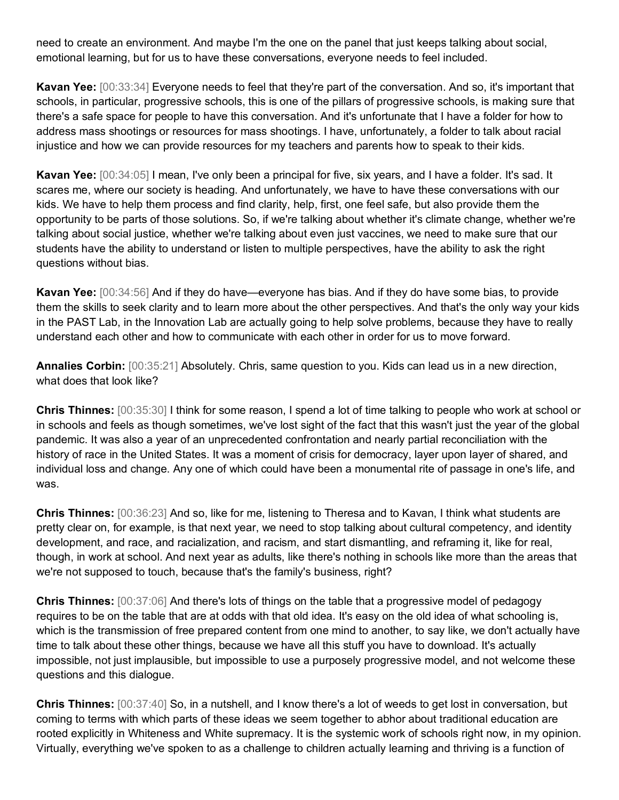need to create an environment. And maybe I'm the one on the panel that just keeps talking about social, emotional learning, but for us to have these conversations, everyone needs to feel included.

**Kavan Yee:** [00:33:34] Everyone needs to feel that they're part of the conversation. And so, it's important that schools, in particular, progressive schools, this is one of the pillars of progressive schools, is making sure that there's a safe space for people to have this conversation. And it's unfortunate that I have a folder for how to address mass shootings or resources for mass shootings. I have, unfortunately, a folder to talk about racial injustice and how we can provide resources for my teachers and parents how to speak to their kids.

**Kavan Yee:** [00:34:05] I mean, I've only been a principal for five, six years, and I have a folder. It's sad. It scares me, where our society is heading. And unfortunately, we have to have these conversations with our kids. We have to help them process and find clarity, help, first, one feel safe, but also provide them the opportunity to be parts of those solutions. So, if we're talking about whether it's climate change, whether we're talking about social justice, whether we're talking about even just vaccines, we need to make sure that our students have the ability to understand or listen to multiple perspectives, have the ability to ask the right questions without bias.

**Kavan Yee:** [00:34:56] And if they do have—everyone has bias. And if they do have some bias, to provide them the skills to seek clarity and to learn more about the other perspectives. And that's the only way your kids in the PAST Lab, in the Innovation Lab are actually going to help solve problems, because they have to really understand each other and how to communicate with each other in order for us to move forward.

**Annalies Corbin:** [00:35:21] Absolutely. Chris, same question to you. Kids can lead us in a new direction, what does that look like?

**Chris Thinnes:** [00:35:30] I think for some reason, I spend a lot of time talking to people who work at school or in schools and feels as though sometimes, we've lost sight of the fact that this wasn't just the year of the global pandemic. It was also a year of an unprecedented confrontation and nearly partial reconciliation with the history of race in the United States. It was a moment of crisis for democracy, layer upon layer of shared, and individual loss and change. Any one of which could have been a monumental rite of passage in one's life, and was.

**Chris Thinnes:** [00:36:23] And so, like for me, listening to Theresa and to Kavan, I think what students are pretty clear on, for example, is that next year, we need to stop talking about cultural competency, and identity development, and race, and racialization, and racism, and start dismantling, and reframing it, like for real, though, in work at school. And next year as adults, like there's nothing in schools like more than the areas that we're not supposed to touch, because that's the family's business, right?

**Chris Thinnes:** [00:37:06] And there's lots of things on the table that a progressive model of pedagogy requires to be on the table that are at odds with that old idea. It's easy on the old idea of what schooling is, which is the transmission of free prepared content from one mind to another, to say like, we don't actually have time to talk about these other things, because we have all this stuff you have to download. It's actually impossible, not just implausible, but impossible to use a purposely progressive model, and not welcome these questions and this dialogue.

**Chris Thinnes:** [00:37:40] So, in a nutshell, and I know there's a lot of weeds to get lost in conversation, but coming to terms with which parts of these ideas we seem together to abhor about traditional education are rooted explicitly in Whiteness and White supremacy. It is the systemic work of schools right now, in my opinion. Virtually, everything we've spoken to as a challenge to children actually learning and thriving is a function of